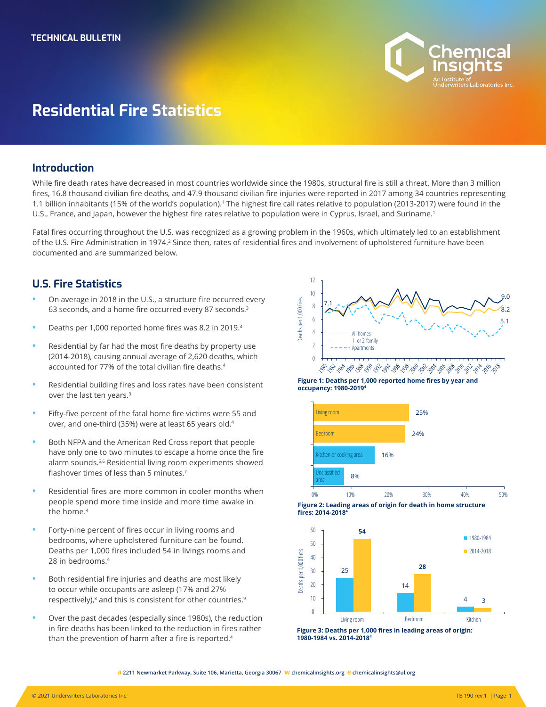

# **Residential Fire Statistics**

#### **Introduction**

While fire death rates have decreased in most countries worldwide since the 1980s, structural fire is still a threat. More than 3 million fires, 16.8 thousand civilian fire deaths, and 47.9 thousand civilian fire injuries were reported in 2017 among 34 countries representing 1.1 billion inhabitants (15% of the world's population).<sup>1</sup> The highest fire call rates relative to population (2013-2017) were found in the U.S., France, and Japan, however the highest fire rates relative to population were in Cyprus, Israel, and Suriname.<sup>1</sup>

Fatal fires occurring throughout the U.S. was recognized as a growing problem in the 1960s, which ultimately led to an establishment of the U.S. Fire Administration in 1974.<sup>2</sup> Since then, rates of residential fires and involvement of upholstered furniture have been documented and are summarized below.

## **U.S. Fire Statistics**

- **•** On average in 2018 in the U.S., a structure fire occurred every 63 seconds, and a home fire occurred every 87 seconds.<sup>3</sup>
- **•** Deaths per 1,000 reported home fires was 8.2 in 2019.<sup>4</sup>
- **•** Residential by far had the most fire deaths by property use (2014-2018), causing annual average of 2,620 deaths, which accounted for 77% of the total civilian fire deaths.<sup>4</sup>
- **•** Residential building fires and loss rates have been consistent over the last ten years.<sup>3</sup>
- **•** Fifty-five percent of the fatal home fire victims were 55 and over, and one-third (35%) were at least 65 years old.<sup>4</sup>
- **•** Both NFPA and the American Red Cross report that people have only one to two minutes to escape a home once the fire alarm sounds.5,6 Residential living room experiments showed flashover times of less than 5 minutes.<sup>7</sup>
- **•** Residential fires are more common in cooler months when people spend more time inside and more time awake in the home.<sup>4</sup>
- **•** Forty-nine percent of fires occur in living rooms and bedrooms, where upholstered furniture can be found. Deaths per 1,000 fires included 54 in livings rooms and 28 in bedrooms.4
- **•** Both residential fire injuries and deaths are most likely to occur while occupants are asleep (17% and 27% respectively),<sup>8</sup> and this is consistent for other countries.<sup>9</sup>
- **•** Over the past decades (especially since 1980s), the reduction in fire deaths has been linked to the reduction in fires rather than the prevention of harm after a fire is reported.<sup>4</sup>











**Figure 3: Deaths per 1,000 fires in leading areas of origin: 1980-1984 vs. 2014-2018<sup>4</sup>**

**a 2211 Newmarket Parkway, Suite 106, Marietta, Georgia 30067 w chemicalinsights.org e chemicalinsights@ul.org**